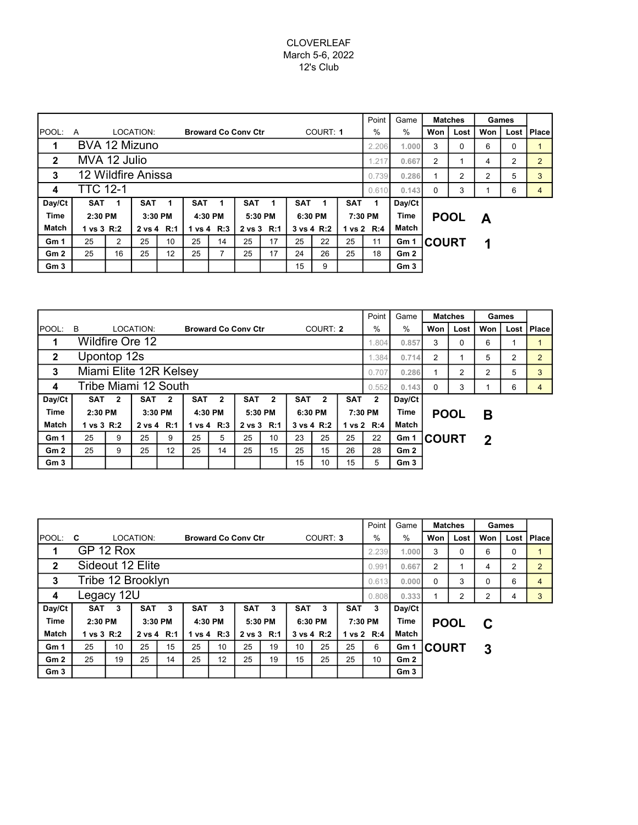## CLOVERLEAF March 5-6, 2022 12's Club

|                 |                             |                |            |            |              |      |                            |       |            |            |            | Point                  | Game            |              | <b>Matches</b> | Games |      |              |
|-----------------|-----------------------------|----------------|------------|------------|--------------|------|----------------------------|-------|------------|------------|------------|------------------------|-----------------|--------------|----------------|-------|------|--------------|
| <b>IPOOL:</b>   | A                           |                | LOCATION:  |            |              |      | <b>Broward Co Conv Ctr</b> |       | COURT: 1   |            |            | $\frac{0}{0}$          | $\%$            | Won          | Lost           | Won   | Lost | <b>Place</b> |
|                 | BVA 12 Mizuno               |                |            |            |              |      |                            | 2.206 | 1.000      | 3          | 0          | 6                      | $\Omega$        |              |                |       |      |              |
| $\mathbf{2}$    | MVA 12 Julio                |                |            |            |              | .217 | 0.667                      | 2     |            | 4          | 2          | $\overline{2}$         |                 |              |                |       |      |              |
| 3               | 12 Wildfire Anissa<br>0.739 |                |            |            |              |      |                            |       |            |            |            |                        |                 | 0.286        | 2              | 2     | 5    | 3            |
| 4               | <b>TTC 12-1</b>             |                |            |            |              |      |                            |       |            |            |            |                        | 0.143           | $\Omega$     | 3              |       | 6    | 4            |
| Day/Ct          | <b>SAT</b>                  |                | <b>SAT</b> |            | <b>SAT</b>   |      | <b>SAT</b>                 |       | <b>SAT</b> |            | <b>SAT</b> | 1                      | Day/Ct          |              |                |       |      |              |
| <b>Time</b>     | 2:30 PM                     |                | 3:30 PM    |            | 4:30 PM      |      | 5:30 PM                    |       | 6:30 PM    |            |            | <b>Time</b><br>7:30 PM |                 |              | <b>POOL</b>    | A     |      |              |
| Match           | 1 vs 3 R:2                  |                |            | 2 vs 4 R:1 | 1 vs 4 $R:3$ |      | 2 vs 3 R:1                 |       |            | 3 vs 4 R:2 |            | 1 vs 2 R:4             | Match           |              |                |       |      |              |
| Gm 1            | 25                          | $\overline{2}$ | 25         | 10         | 25           | 14   | 25                         | 17    | 25         | 22         | 25<br>11   |                        | Gm 1            | <b>COURT</b> |                | 1     |      |              |
| Gm2             | 25                          | 16             | 25         | 12         | 25           | 7    | 25                         | 17    | 24         | 26         | 25         | 18                     | Gm2             |              |                |       |      |              |
| Gm <sub>3</sub> |                             |                |            |            |              |      |                            |       | 15         | 9          |            |                        | Gm <sub>3</sub> |              |                |       |      |              |

|                 |                        |                          |           |              |            |                |                            |                |                |                |            |              | Game            | <b>Matches</b> |          | Games        |       |                |
|-----------------|------------------------|--------------------------|-----------|--------------|------------|----------------|----------------------------|----------------|----------------|----------------|------------|--------------|-----------------|----------------|----------|--------------|-------|----------------|
| <b>POOL:</b>    | B                      |                          | LOCATION: |              |            |                | <b>Broward Co Conv Ctr</b> |                | COURT: 2       |                | %          | $\%$         | Won             | Lost           | Won      | Lost I       | Place |                |
| 1               | Wildfire Ore 12        |                          |           |              |            |                |                            |                | 1.804<br>0.857 |                |            |              |                 |                | $\Omega$ | 6            |       |                |
| $\mathbf{2}$    | Upontop 12s            |                          |           |              |            |                |                            |                |                |                |            |              | 0.714           | $\overline{2}$ |          | 5            | 2     | $\overline{2}$ |
| 3               | Miami Elite 12R Kelsey |                          |           |              |            |                |                            |                |                |                |            |              | 0.286           |                | 2        | 2            | 5     | 3              |
| 4               | Tribe Miami 12 South   |                          |           |              |            |                |                            |                |                |                |            |              | 0.143           | $\Omega$       | 3        |              | 6     |                |
| Day/Ct          | <b>SAT</b>             | $\overline{2}$           | SAT       | $\mathbf{2}$ | <b>SAT</b> | $\overline{2}$ | SAT                        | $\overline{2}$ | <b>SAT</b>     | $\overline{2}$ | <b>SAT</b> | $\mathbf{2}$ | Day/Ct          |                |          |              |       |                |
| <b>Time</b>     | 2:30 PM                |                          |           | 3:30 PM      |            | 4:30 PM        |                            | 5:30 PM        |                | 6:30 PM        |            | 7:30 PM      |                 | <b>POOL</b>    |          | в            |       |                |
| <b>Match</b>    |                        | 1 vs 3 R:2<br>2 vs 4 R:1 |           |              | 1 vs 4 R:3 |                | 2 vs 3 R:1                 |                |                | 3 vs 4 R:2     |            | 1 vs 2 R:4   | Match           |                |          |              |       |                |
| Gm <sub>1</sub> | 25                     | 9                        | 25        | 9            | 25         | 5              | 25                         | 10             | 23             | 25             | 25         | 22           | Gm 1            | <b>COURT</b>   |          | $\mathbf{2}$ |       |                |
| Gm <sub>2</sub> | 25                     | 9                        | 25        | 12           | 25         | 14             | 25                         | 15             | 25             | 15             | 26         | 28           | Gm2             |                |          |              |       |                |
| Gm <sub>3</sub> |                        |                          |           |              |            |                |                            |                | 15             | 10             | 15         | 5            | Gm <sub>3</sub> |                |          |              |       |                |

|                 |                            |    |            |    |            |                 |                            |    |            |            |            | Point         | Game            |                   | <b>Matches</b> | Games |          |                |
|-----------------|----------------------------|----|------------|----|------------|-----------------|----------------------------|----|------------|------------|------------|---------------|-----------------|-------------------|----------------|-------|----------|----------------|
| <b>IPOOL:</b>   | <b>C</b>                   |    | LOCATION:  |    |            |                 | <b>Broward Co Conv Ctr</b> |    | COURT: 3   |            |            | $\frac{0}{0}$ | $\%$            | Won               | Lost           | Won   | Lost     | <b>Place</b>   |
| 1               | GP 12 Rox                  |    |            |    |            |                 |                            |    |            |            |            |               | 1.000           | 3                 | $\Omega$       | 6     | $\Omega$ |                |
| $\mathbf{2}$    | Sideout 12 Elite<br>0.991  |    |            |    |            |                 |                            |    |            |            |            |               |                 | 2                 |                | 4     | 2        | $\overline{2}$ |
| 3               | Tribe 12 Brooklyn<br>0.613 |    |            |    |            |                 |                            |    |            |            |            |               |                 | 0.000<br>$\Omega$ | 3              | 0     | 6        | 4              |
| 4               | Legacy 12U                 |    |            |    |            |                 |                            |    |            |            |            |               | 0.333           |                   | 2              | 2     | 4        | 3              |
| Day/Ct          | <b>SAT</b>                 | 3  | <b>SAT</b> | 3  | <b>SAT</b> | 3               | <b>SAT</b>                 | 3  | <b>SAT</b> | 3          | <b>SAT</b> | 3             | Day/Ct          |                   |                |       |          |                |
| <b>Time</b>     | 2:30 PM                    |    | 3:30 PM    |    | 4:30 PM    |                 | 5:30 PM                    |    | 6:30 PM    |            |            | 7:30 PM       | <b>Time</b>     | <b>POOL</b>       |                | C     |          |                |
| <b>Match</b>    | 1 vs 3 R:2                 |    | 2 vs 4 R:1 |    | 1 vs 4 R:3 |                 | 2 vs 3 R:1                 |    |            | 3 vs 4 R:2 |            | 1 vs 2 R:4    | Match           |                   |                |       |          |                |
| Gm <sub>1</sub> | 25                         | 10 | 25         | 15 | 25         | 10 <sup>1</sup> | 25                         | 19 | 10         | 25         | 25         | 6             | Gm 1            | <b>COURT</b>      |                | 3     |          |                |
| Gm <sub>2</sub> | 25                         | 19 | 25         | 14 | 25         | 12              | 25                         | 19 | 15         | 25         | 25         | 10            | Gm2             |                   |                |       |          |                |
| Gm <sub>3</sub> |                            |    |            |    |            |                 |                            |    |            |            |            |               | Gm <sub>3</sub> |                   |                |       |          |                |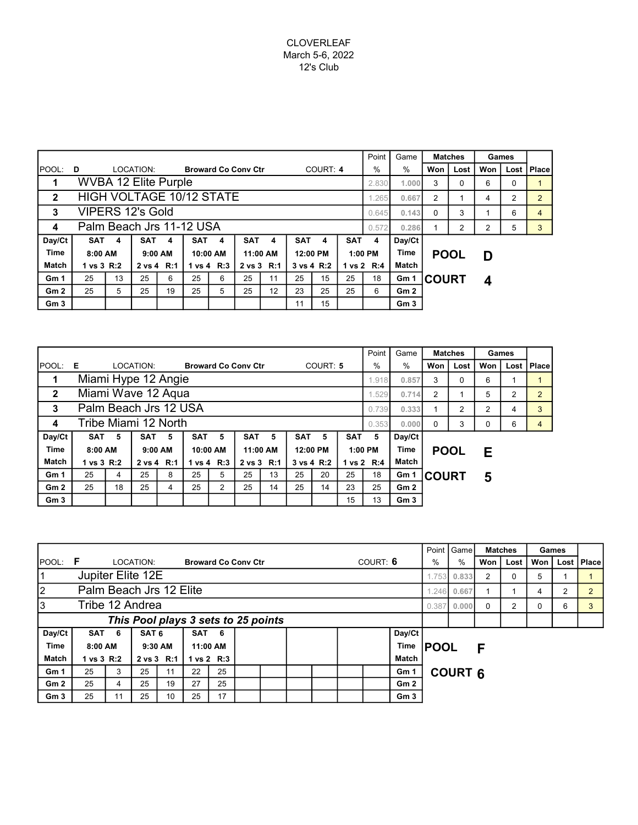|                 |                                 |      |            |    |            |            |                            |                |            |    |            | Point         | Game            |                  | <b>Matches</b> | Games |              |                |  |  |
|-----------------|---------------------------------|------|------------|----|------------|------------|----------------------------|----------------|------------|----|------------|---------------|-----------------|------------------|----------------|-------|--------------|----------------|--|--|
| POOL: D         |                                 |      | LOCATION:  |    |            |            | <b>Broward Co Conv Ctr</b> |                | COURT: 4   |    | $\%$       | $\frac{0}{0}$ | Won             | Lost             | Won            |       | Lost   Place |                |  |  |
|                 | <b>WVBA 12 Elite Purple</b>     |      |            |    |            |            |                            |                |            |    |            | 2.830         | 1.000           | 3<br>0<br>6<br>0 |                |       |              |                |  |  |
| $\mathbf{2}$    | <b>HIGH VOLTAGE 10/12 STATE</b> | .265 | 0.667      | 2  |            | 4          | 2                          | $\overline{2}$ |            |    |            |               |                 |                  |                |       |              |                |  |  |
| 3               | <b>VIPERS 12's Gold</b>         |      |            |    |            |            |                            |                |            |    |            |               | 0.143<br>0.645  | $\Omega$         | 3              |       | 6            | $\overline{4}$ |  |  |
| 4               | Palm Beach Jrs 11-12 USA        |      |            |    |            |            |                            |                |            |    |            | 0.572         | 0.286           |                  | 2              | 2     | 5            | 3              |  |  |
| Day/Ct          | SAT                             | 4    | <b>SAT</b> | 4  | SAT        | -4         | SAT                        | 4              | <b>SAT</b> | 4  | <b>SAT</b> | 4             | Day/Ct          |                  |                |       |              |                |  |  |
| Time            | 8:00 AM                         |      | $9:00$ AM  |    | 10:00 AM   |            | 11:00 AM                   |                | 12:00 PM   |    | $1:00$ PM  |               | Time            | <b>POOL</b>      |                | D     |              |                |  |  |
| <b>Match</b>    | 1 vs 3 R:2<br>2 vs 4 R:1        |      |            |    | 1 vs 4 R:3 | 2 vs 3 R:1 |                            |                | 3 vs 4 R:2 |    | 1 vs 2 R:4 | Match         |                 |                  |                |       |              |                |  |  |
| Gm <sub>1</sub> | 25                              | 13   | 25         | 6  | 25         | 6          | 25                         | 11             | 25         | 15 | 25         | 18<br>Gm 1    |                 | <b>COURT</b>     |                | 4     |              |                |  |  |
| Gm <sub>2</sub> | 25                              | 5    | 25         | 19 | 25         | 5          | 25                         | 12             | 23         | 25 | 25         | 6             | Gm2             |                  |                |       |              |                |  |  |
| Gm <sub>3</sub> |                                 |      |            |    |            |            |                            |                | 11         | 15 |            |               | Gm <sub>3</sub> |                  |                |       |              |                |  |  |

|                 |                       |       |            |         |                |                |                            |                |                |    | Point          | Game       | <b>Matches</b>  |               | Games |      |              |  |
|-----------------|-----------------------|-------|------------|---------|----------------|----------------|----------------------------|----------------|----------------|----|----------------|------------|-----------------|---------------|-------|------|--------------|--|
| POOL:           | - E                   |       | LOCATION:  |         |                |                | <b>Broward Co Conv Ctr</b> |                | COURT: 5       |    | $\%$           | %          | Won<br>Lost     |               | Won   | Lost | <b>Place</b> |  |
|                 | Miami Hype 12 Angie   | 1.918 | 0.857      | 3       | 0              | 6              |                            |                |                |    |                |            |                 |               |       |      |              |  |
| $\overline{2}$  | Miami Wave 12 Aqua    |       |            |         |                | 1.529          | 0.714                      | $\overline{2}$ |                | 5  | $\overline{2}$ | 2          |                 |               |       |      |              |  |
| 3               | Palm Beach Jrs 12 USA | 0.739 | 0.333      |         | $\overline{2}$ | $\overline{2}$ | 4                          | 3              |                |    |                |            |                 |               |       |      |              |  |
| 4               | Tribe Miami 12 North  |       | 0.353      | 0.000   | $\Omega$       | 3              |                            | 6              | $\overline{4}$ |    |                |            |                 |               |       |      |              |  |
| Day/Ct          | <b>SAT</b>            | 5     | <b>SAT</b> | 5       | <b>SAT</b>     | 5              | <b>SAT</b>                 | 5              | <b>SAT</b>     | 5  | <b>SAT</b>     | 5          | Day/Ct          |               |       |      |              |  |
| <b>Time</b>     | 8:00 AM               |       |            | 9:00 AM | 10:00 AM       |                |                            | 11:00 AM       | 12:00 PM       |    |                | 1:00 PM    | Time            | <b>POOL</b>   |       | Е    |              |  |
| Match           | 1 vs 3 R:2            |       | 2 vs 4 R:1 |         | 1 vs 4 R:3     |                | 2 vs 3 R:1                 |                | 3 vs 4 R:2     |    |                | 1 vs 2 R:4 | Match           |               |       |      |              |  |
| Gm <sub>1</sub> | 25                    | 4     | 25         | 8       | 25             | 5              | 25                         | 13             | 25             | 20 | 25             | 18         | Gm 1            | <b>ICOURT</b> |       | 5    |              |  |
| Gm2             | 25                    | 18    | 25         | 4       | 25             | $\overline{2}$ | 25                         | 14             | 25             | 14 | 23             | 25         | Gm2             |               |       |      |              |  |
| Gm <sub>3</sub> |                       |       |            |         |                |                |                            |                |                |    | 15             | 13         | Gm <sub>3</sub> |               |       |      |              |  |

|                 |                                     |                                        |                  |         |                            |          |  |  |       |  |  |          |                 | Point I        | <b>Game</b><br><b>Matches</b> |          |                | Games    |   |              |
|-----------------|-------------------------------------|----------------------------------------|------------------|---------|----------------------------|----------|--|--|-------|--|--|----------|-----------------|----------------|-------------------------------|----------|----------------|----------|---|--------------|
| <b>POOL:</b>    | F                                   |                                        | LOCATION:        |         | <b>Broward Co Conv Ctr</b> |          |  |  |       |  |  | COURT: 6 |                 | %              | $\%$                          | Won      | Lost           | Won      |   | Lost   Place |
| 1               | Jupiter Elite 12E                   |                                        |                  |         |                            |          |  |  |       |  |  |          |                 | 1.753          | 0.833                         | 2        |                | 5        |   |              |
| 2               | Palm Beach Jrs 12 Elite             |                                        |                  |         |                            |          |  |  |       |  |  |          |                 |                | 0.667<br>1.246                |          |                | 4        | 2 |              |
| 3               | Tribe 12 Andrea<br>0.387            |                                        |                  |         |                            |          |  |  |       |  |  |          |                 |                | 0.000                         | $\Omega$ | $\overline{2}$ | $\Omega$ | 6 |              |
|                 | This Pool plays 3 sets to 25 points |                                        |                  |         |                            |          |  |  |       |  |  |          |                 |                |                               |          |                |          |   |              |
| Day/Ct          | <b>SAT</b>                          | -6                                     | SAT <sub>6</sub> |         | SAT                        | 6        |  |  |       |  |  |          | Day/Ct          |                |                               |          |                |          |   |              |
| <b>Time</b>     | 8:00 AM                             |                                        |                  | 9:30 AM |                            | 11:00 AM |  |  |       |  |  |          | Time            | <b>POOL</b>    |                               | F        |                |          |   |              |
| Match           |                                     | 2 vs 3 R:1<br>1 vs 3 R:2<br>1 vs 2 R:3 |                  |         |                            |          |  |  | Match |  |  |          |                 |                |                               |          |                |          |   |              |
| Gm <sub>1</sub> | 25                                  | 3                                      | 25               | 11      | 22                         | 25       |  |  |       |  |  |          | Gm 1            | <b>COURT 6</b> |                               |          |                |          |   |              |
| Gm2             | 25                                  | 4                                      | 25               | 19      | 27                         | 25       |  |  |       |  |  |          | Gm2             |                |                               |          |                |          |   |              |
| Gm <sub>3</sub> | 25                                  | 11                                     | 25               | 10      | 25                         | 17       |  |  |       |  |  |          | Gm <sub>3</sub> |                |                               |          |                |          |   |              |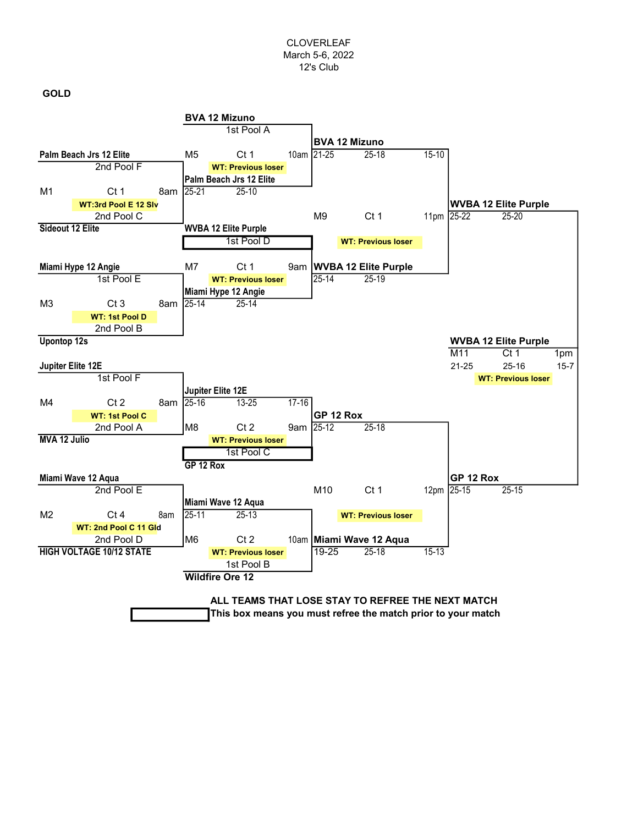## CLOVERLEAF March 5-6, 2022 12's Club

GOLD

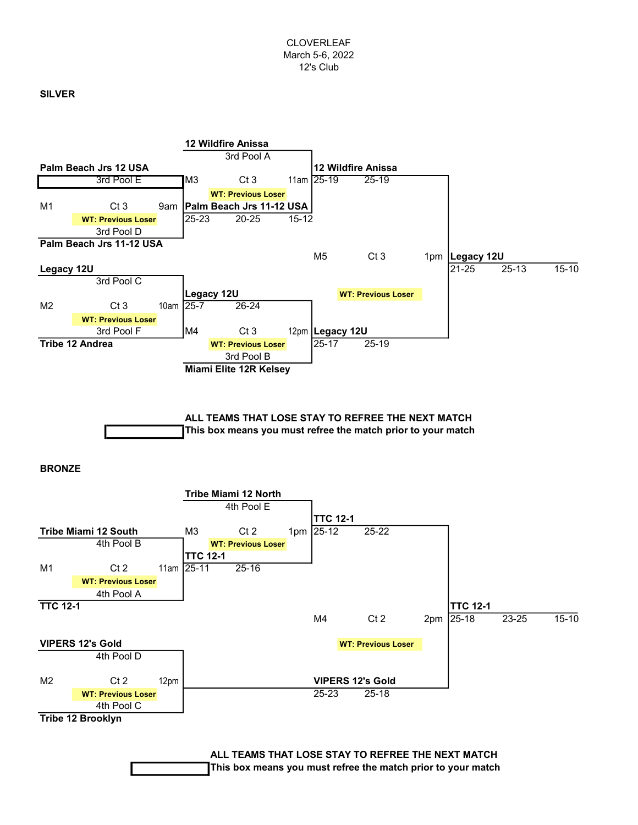## SILVER





ALL TEAMS THAT LOSE STAY TO REFREE THE NEXT MATCH This box means you must refree the match prior to your match